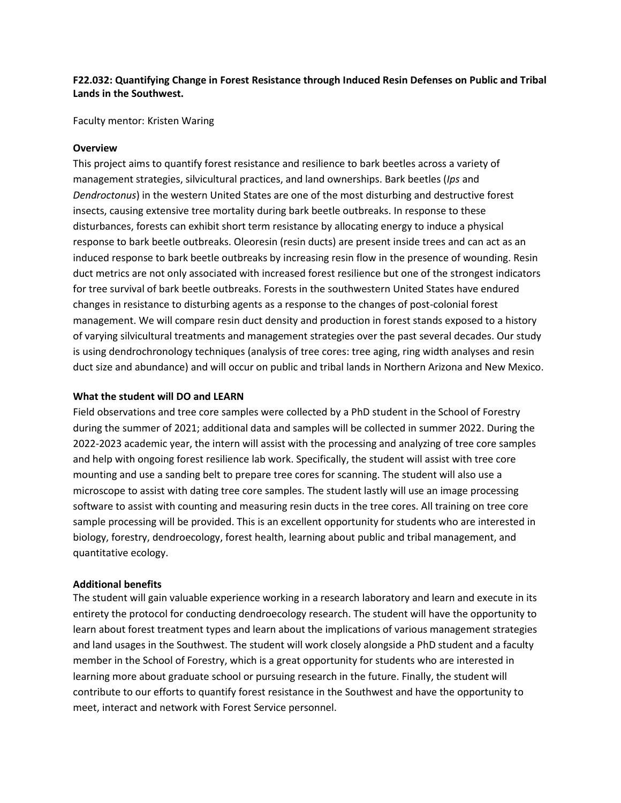## **F22.032: Quantifying Change in Forest Resistance through Induced Resin Defenses on Public and Tribal Lands in the Southwest.**

Faculty mentor: Kristen Waring

#### **Overview**

This project aims to quantify forest resistance and resilience to bark beetles across a variety of management strategies, silvicultural practices, and land ownerships. Bark beetles (*Ips* and *Dendroctonus*) in the western United States are one of the most disturbing and destructive forest insects, causing extensive tree mortality during bark beetle outbreaks. In response to these disturbances, forests can exhibit short term resistance by allocating energy to induce a physical response to bark beetle outbreaks. Oleoresin (resin ducts) are present inside trees and can act as an induced response to bark beetle outbreaks by increasing resin flow in the presence of wounding. Resin duct metrics are not only associated with increased forest resilience but one of the strongest indicators for tree survival of bark beetle outbreaks. Forests in the southwestern United States have endured changes in resistance to disturbing agents as a response to the changes of post-colonial forest management. We will compare resin duct density and production in forest stands exposed to a history of varying silvicultural treatments and management strategies over the past several decades. Our study is using dendrochronology techniques (analysis of tree cores: tree aging, ring width analyses and resin duct size and abundance) and will occur on public and tribal lands in Northern Arizona and New Mexico.

#### **What the student will DO and LEARN**

Field observations and tree core samples were collected by a PhD student in the School of Forestry during the summer of 2021; additional data and samples will be collected in summer 2022. During the 2022-2023 academic year, the intern will assist with the processing and analyzing of tree core samples and help with ongoing forest resilience lab work. Specifically, the student will assist with tree core mounting and use a sanding belt to prepare tree cores for scanning. The student will also use a microscope to assist with dating tree core samples. The student lastly will use an image processing software to assist with counting and measuring resin ducts in the tree cores. All training on tree core sample processing will be provided. This is an excellent opportunity for students who are interested in biology, forestry, dendroecology, forest health, learning about public and tribal management, and quantitative ecology.

#### **Additional benefits**

The student will gain valuable experience working in a research laboratory and learn and execute in its entirety the protocol for conducting dendroecology research. The student will have the opportunity to learn about forest treatment types and learn about the implications of various management strategies and land usages in the Southwest. The student will work closely alongside a PhD student and a faculty member in the School of Forestry, which is a great opportunity for students who are interested in learning more about graduate school or pursuing research in the future. Finally, the student will contribute to our efforts to quantify forest resistance in the Southwest and have the opportunity to meet, interact and network with Forest Service personnel.